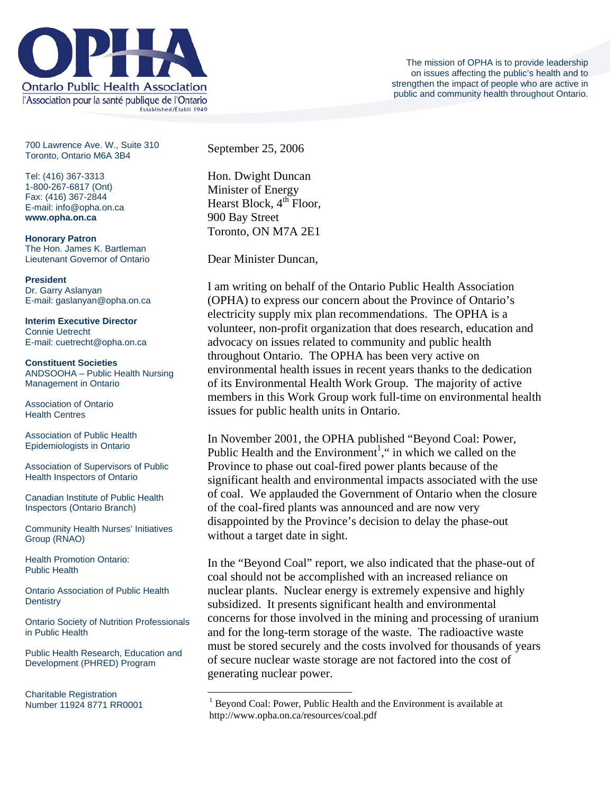

700 Lawrence Ave. W., Suite 310 Toronto, Ontario M6A 3B4

Tel: (416) 367-3313 1-800-267-6817 (Ont) Fax: (416) 367-2844 E-mail: info@opha.on.ca **www.opha.on.ca** 

**Honorary Patron**  The Hon. James K. Bartleman Lieutenant Governor of Ontario

**President**  Dr. Garry Aslanyan E-mail: gaslanyan@opha.on.ca

**Interim Executive Director**  Connie Uetrecht E-mail: cuetrecht@opha.on.ca

**Constituent Societies**  ANDSOOHA – Public Health Nursing Management in Ontario

Association of Ontario Health Centres

Association of Public Health Epidemiologists in Ontario

Association of Supervisors of Public Health Inspectors of Ontario

Canadian Institute of Public Health Inspectors (Ontario Branch)

Community Health Nurses' Initiatives Group (RNAO)

Health Promotion Ontario: Public Health

Ontario Association of Public Health **Dentistry** 

Ontario Society of Nutrition Professionals in Public Health

Public Health Research, Education and Development (PHRED) Program

 $\overline{a}$ 

Charitable Registration Number 11924 8771 RR0001 September 25, 2006

Hon. Dwight Duncan Minister of Energy Hearst Block,  $4<sup>th</sup>$  Floor, 900 Bay Street Toronto, ON M7A 2E1

Dear Minister Duncan,

I am writing on behalf of the Ontario Public Health Association (OPHA) to express our concern about the Province of Ontario's electricity supply mix plan recommendations. The OPHA is a volunteer, non-profit organization that does research, education and advocacy on issues related to community and public health throughout Ontario. The OPHA has been very active on environmental health issues in recent years thanks to the dedication of its Environmental Health Work Group. The majority of active members in this Work Group work full-time on environmental health issues for public health units in Ontario.

In November 2001, the OPHA published "Beyond Coal: Power, Public Health and the Environment<sup>1</sup>," in which we called on the Province to phase out coal-fired power plants because of the significant health and environmental impacts associated with the use of coal. We applauded the Government of Ontario when the closure of the coal-fired plants was announced and are now very disappointed by the Province's decision to delay the phase-out without a target date in sight.

In the "Beyond Coal" report, we also indicated that the phase-out of coal should not be accomplished with an increased reliance on nuclear plants. Nuclear energy is extremely expensive and highly subsidized. It presents significant health and environmental concerns for those involved in the mining and processing of uranium and for the long-term storage of the waste. The radioactive waste must be stored securely and the costs involved for thousands of years of secure nuclear waste storage are not factored into the cost of generating nuclear power.

<sup>1</sup> Beyond Coal: Power, Public Health and the Environment is available at http://www.opha.on.ca/resources/coal.pdf